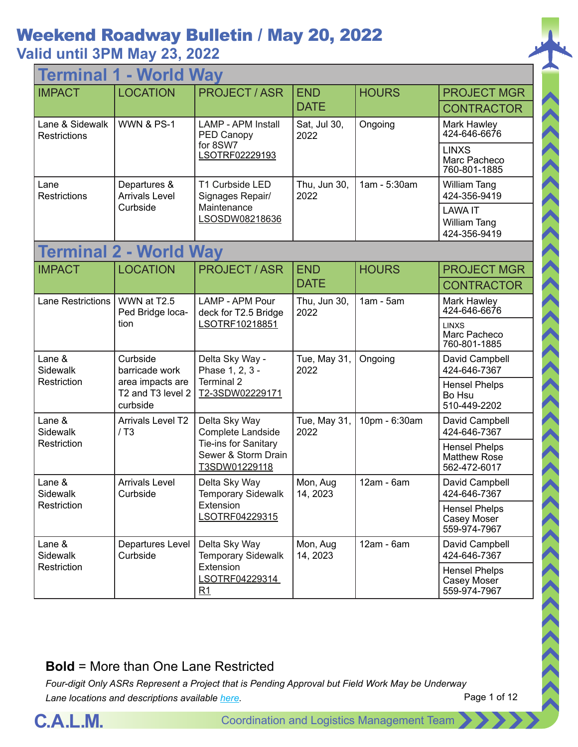#### **Valid until 3PM May 23, 2022**

| - World Way<br><b>Terminal 1</b>       |                                                   |                                                              |                           |               |                                                      |  |
|----------------------------------------|---------------------------------------------------|--------------------------------------------------------------|---------------------------|---------------|------------------------------------------------------|--|
| <b>IMPACT</b>                          | <b>LOCATION</b>                                   | <b>PROJECT / ASR</b>                                         | <b>END</b><br><b>DATE</b> | <b>HOURS</b>  | <b>PROJECT MGR</b><br><b>CONTRACTOR</b>              |  |
| Lane & Sidewalk<br><b>Restrictions</b> | <b>WWN &amp; PS-1</b>                             | <b>LAMP - APM Install</b><br>PED Canopy                      | Sat, Jul 30,<br>2022      | Ongoing       | Mark Hawley<br>424-646-6676                          |  |
|                                        |                                                   | for 8SW7<br>LSOTRF02229193                                   |                           |               | <b>LINXS</b><br>Marc Pacheco<br>760-801-1885         |  |
| Lane<br><b>Restrictions</b>            | Departures &<br><b>Arrivals Level</b>             | T1 Curbside LED<br>Signages Repair/                          | Thu, Jun 30,<br>2022      | 1am - 5:30am  | William Tang<br>424-356-9419                         |  |
|                                        | Curbside                                          | Maintenance<br>LSOSDW08218636                                |                           |               | <b>LAWA IT</b><br>William Tang<br>424-356-9419       |  |
| <b>Terminal 2 - World Way</b>          |                                                   |                                                              |                           |               |                                                      |  |
| <b>IMPACT</b>                          | <b>LOCATION</b>                                   | <b>PROJECT / ASR</b>                                         | <b>END</b>                | <b>HOURS</b>  | <b>PROJECT MGR</b>                                   |  |
|                                        |                                                   |                                                              | <b>DATE</b>               |               | <b>CONTRACTOR</b>                                    |  |
| <b>Lane Restrictions</b>               | WWN at T2.5<br>Ped Bridge loca-                   | LAMP - APM Pour<br>deck for T2.5 Bridge<br>LSOTRF10218851    | Thu, Jun 30,<br>2022      | $1am - 5am$   | Mark Hawley<br>424-646-6676                          |  |
|                                        | tion                                              |                                                              |                           |               | <b>LINXS</b><br>Marc Pacheco<br>760-801-1885         |  |
| Lane &<br>Sidewalk                     | Curbside<br>barricade work                        | Delta Sky Way -<br>Phase 1, 2, 3 -                           | Tue, May 31,<br>2022      | Ongoing       | David Campbell<br>424-646-7367                       |  |
| Restriction                            | area impacts are<br>T2 and T3 level 2<br>curbside | Terminal 2<br>T2-3SDW02229171                                |                           |               | <b>Hensel Phelps</b><br>Bo Hsu<br>510-449-2202       |  |
| Lane &<br>Sidewalk                     | <b>Arrivals Level T2</b><br>/ T3                  | Delta Sky Way<br>Complete Landside                           | Tue, May 31,<br>2022      | 10pm - 6:30am | David Campbell<br>424-646-7367                       |  |
| Restriction                            |                                                   | Tie-ins for Sanitary<br>Sewer & Storm Drain<br>T3SDW01229118 |                           |               | <b>Hensel Phelps</b><br>Matthew Rose<br>562-472-6017 |  |
| Lane &<br>Sidewalk                     | <b>Arrivals Level</b><br>Curbside                 | Delta Sky Way<br>Temporary Sidewalk                          | Mon, Aug<br>14, 2023      | $12am - 6am$  | David Campbell<br>424-646-7367                       |  |
| Restriction                            |                                                   | Extension<br>LSOTRF04229315                                  |                           |               | <b>Hensel Phelps</b><br>Casey Moser<br>559-974-7967  |  |
| Lane &<br>Sidewalk                     | Departures Level<br>Curbside                      | Delta Sky Way<br><b>Temporary Sidewalk</b>                   | Mon, Aug<br>14, 2023      | $12am - 6am$  | David Campbell<br>424-646-7367                       |  |
| Restriction                            |                                                   | Extension<br>LSOTRF04229314<br>R1                            |                           |               | <b>Hensel Phelps</b><br>Casey Moser<br>559-974-7967  |  |

#### **Bold** = More than One Lane Restricted

*Four-digit Only ASRs Represent a Project that is Pending Approval but Field Work May be Underway Lane locations and descriptions available [here](http://slaxadgmss001/sites/CALMSHARE/Shared%20Documents/CTA_Lane_Descriptions.pdf).*



 $\langle\langle\langle\langle\langle\langle\rangle\rangle\rangle\rangle\rangle\rangle\rangle$ 

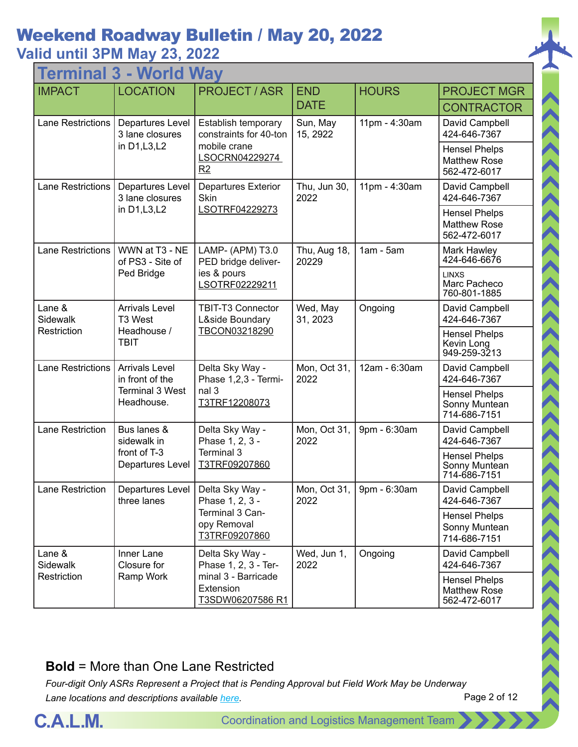#### **Valid until 3PM May 23, 2022**

| - World Way<br><b>Termina</b> |                                          |                                                             |                       |               |                                                             |  |  |
|-------------------------------|------------------------------------------|-------------------------------------------------------------|-----------------------|---------------|-------------------------------------------------------------|--|--|
| <b>IMPACT</b>                 | <b>LOCATION</b>                          | <b>PROJECT / ASR</b>                                        | <b>END</b>            | <b>HOURS</b>  | <b>PROJECT MGR</b>                                          |  |  |
|                               |                                          |                                                             | <b>DATE</b>           |               | <b>CONTRACTOR</b>                                           |  |  |
| <b>Lane Restrictions</b>      | Departures Level<br>3 lane closures      | Establish temporary<br>constraints for 40-ton               | Sun, May<br>15, 2922  | 11pm - 4:30am | David Campbell<br>424-646-7367                              |  |  |
|                               | in D1, L3, L2                            | mobile crane<br>LSOCRN04229274<br>R2                        |                       |               | <b>Hensel Phelps</b><br><b>Matthew Rose</b><br>562-472-6017 |  |  |
| <b>Lane Restrictions</b>      | Departures Level<br>3 lane closures      | <b>Departures Exterior</b><br>Skin                          | Thu, Jun 30,<br>2022  | 11pm - 4:30am | David Campbell<br>424-646-7367                              |  |  |
|                               | in D1, L3, L2                            | LSOTRF04229273                                              |                       |               | <b>Hensel Phelps</b><br><b>Matthew Rose</b><br>562-472-6017 |  |  |
| <b>Lane Restrictions</b>      | WWN at T3 - NE<br>of PS3 - Site of       | LAMP- (APM) T3.0<br>PED bridge deliver-                     | Thu, Aug 18,<br>20229 | $1am - 5am$   | Mark Hawley<br>424-646-6676                                 |  |  |
|                               | Ped Bridge                               | ies & pours<br>LSOTRF02229211                               |                       |               | <b>LINXS</b><br>Marc Pacheco<br>760-801-1885                |  |  |
| Lane &<br>Sidewalk            | <b>Arrivals Level</b><br>T3 West         | <b>TBIT-T3 Connector</b><br>L&side Boundary                 | Wed, May<br>31, 2023  | Ongoing       | David Campbell<br>424-646-7367                              |  |  |
| Restriction                   | Headhouse /<br><b>TBIT</b>               | TBCON03218290                                               |                       |               | <b>Hensel Phelps</b><br>Kevin Long<br>949-259-3213          |  |  |
| <b>Lane Restrictions</b>      | <b>Arrivals Level</b><br>in front of the | Delta Sky Way -<br>Phase 1,2,3 - Termi-                     | Mon, Oct 31,<br>2022  | 12am - 6:30am | David Campbell<br>424-646-7367                              |  |  |
|                               | <b>Terminal 3 West</b><br>Headhouse.     | nal 3<br>T3TRF12208073                                      |                       |               | <b>Hensel Phelps</b><br>Sonny Muntean<br>714-686-7151       |  |  |
| <b>Lane Restriction</b>       | Bus lanes &<br>sidewalk in               | Delta Sky Way -<br>Phase 1, 2, 3 -                          | Mon, Oct 31,<br>2022  | 9pm - 6:30am  | David Campbell<br>424-646-7367                              |  |  |
|                               | front of T-3<br>Departures Level         | Terminal 3<br>T3TRF09207860                                 |                       |               | <b>Hensel Phelps</b><br>Sonny Muntean<br>714-686-7151       |  |  |
| Lane Restriction              | Departures Level<br>three lanes          | Delta Sky Way -<br>Phase 1, 2, 3 -                          | Mon, Oct 31,<br>2022  | 9pm - 6:30am  | David Campbell<br>424-646-7367                              |  |  |
|                               |                                          | Terminal 3 Can-<br>opy Removal<br>T3TRF09207860             |                       |               | <b>Hensel Phelps</b><br>Sonny Muntean<br>714-686-7151       |  |  |
| Lane &<br>Sidewalk            | Inner Lane<br>Closure for                | Delta Sky Way -<br>Phase 1, 2, 3 - Ter-                     | Wed, Jun 1,<br>2022   | Ongoing       | David Campbell<br>424-646-7367                              |  |  |
| Restriction                   | Ramp Work                                | minal 3 - Barricade<br>Extension<br><u>T3SDW06207586 R1</u> |                       |               | <b>Hensel Phelps</b><br><b>Matthew Rose</b><br>562-472-6017 |  |  |

#### **Bold** = More than One Lane Restricted

*Four-digit Only ASRs Represent a Project that is Pending Approval but Field Work May be Underway Lane locations and descriptions available [here](http://slaxadgmss001/sites/CALMSHARE/Shared%20Documents/CTA_Lane_Descriptions.pdf).*



 $\langle \langle \rangle \rangle$ 

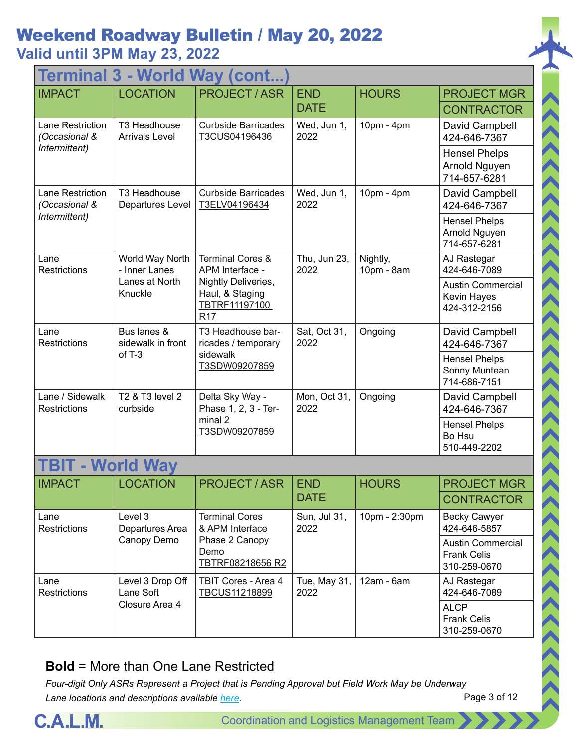### Weekend Roadway Bulletin / May 20, 2022 **Valid until 3PM May 23, 2022**

| Terminal 3 - World Way (cont             |                                       |                                                                       |                      |                        |                                                         |  |  |
|------------------------------------------|---------------------------------------|-----------------------------------------------------------------------|----------------------|------------------------|---------------------------------------------------------|--|--|
| <b>IMPACT</b>                            | <b>LOCATION</b>                       | <b>PROJECT/ASR</b>                                                    | <b>END</b>           | <b>HOURS</b>           | <b>PROJECT MGR</b>                                      |  |  |
|                                          |                                       |                                                                       | <b>DATE</b>          |                        | <b>CONTRACTOR</b>                                       |  |  |
| Lane Restriction<br>(Occasional &        | T3 Headhouse<br><b>Arrivals Level</b> | <b>Curbside Barricades</b><br>T3CUS04196436                           | Wed, Jun 1,<br>2022  | 10pm - 4pm             | David Campbell<br>424-646-7367                          |  |  |
| Intermittent)                            |                                       |                                                                       |                      |                        | <b>Hensel Phelps</b><br>Arnold Nguyen<br>714-657-6281   |  |  |
| <b>Lane Restriction</b><br>(Occasional & | T3 Headhouse<br>Departures Level      | <b>Curbside Barricades</b><br>T3ELV04196434                           | Wed, Jun 1,<br>2022  | 10pm - 4pm             | David Campbell<br>424-646-7367                          |  |  |
| Intermittent)                            |                                       |                                                                       |                      |                        | <b>Hensel Phelps</b><br>Arnold Nguyen<br>714-657-6281   |  |  |
| Lane<br>Restrictions                     | World Way North<br>- Inner Lanes      | <b>Terminal Cores &amp;</b><br>APM Interface -                        | Thu, Jun 23,<br>2022 | Nightly,<br>10pm - 8am | AJ Rastegar<br>424-646-7089                             |  |  |
|                                          | Lanes at North<br>Knuckle             | Nightly Deliveries,<br>Haul, & Staging<br>TBTRF11197100<br><b>R17</b> |                      |                        | <b>Austin Commercial</b><br>Kevin Hayes<br>424-312-2156 |  |  |
| Lane<br>Restrictions                     | Bus lanes &<br>sidewalk in front      | T3 Headhouse bar-<br>ricades / temporary                              | Sat, Oct 31,<br>2022 | Ongoing                | David Campbell<br>424-646-7367                          |  |  |
|                                          | $of T-3$                              | sidewalk<br>T3SDW09207859                                             |                      |                        | <b>Hensel Phelps</b><br>Sonny Muntean<br>714-686-7151   |  |  |
| Lane / Sidewalk<br>Restrictions          | T2 & T3 level 2<br>curbside           | Delta Sky Way -<br>Phase 1, 2, 3 - Ter-                               | Mon, Oct 31,<br>2022 | Ongoing                | David Campbell<br>424-646-7367                          |  |  |
|                                          |                                       | minal 2<br>T3SDW09207859                                              |                      |                        | <b>Hensel Phelps</b><br>Bo Hsu<br>510-449-2202          |  |  |
| <b>TBIT - World Way</b>                  |                                       |                                                                       |                      |                        |                                                         |  |  |
| <b>IMPACT</b>                            | <b>LOCATION</b>                       | <b>PROJECT / ASR</b>                                                  | <b>END</b>           | <b>HOURS</b>           | <b>PROJECT MGR</b>                                      |  |  |
|                                          |                                       |                                                                       | <b>DATE</b>          |                        | <b>CONTRACTOR</b>                                       |  |  |
| Lane<br>Restrictions                     | Level 3<br>Departures Area            | <b>Terminal Cores</b><br>& APM Interface                              | Sun, Jul 31,<br>2022 | 10pm - 2:30pm          | <b>Becky Cawyer</b><br>424-646-5857                     |  |  |
|                                          | Canopy Demo                           | Phase 2 Canopy                                                        |                      |                        | <b>Austin Commercial</b>                                |  |  |

| Restrictions                | Departures Area               | & APM Interface                            | 2022                                |            | 424-646-5857                                              |
|-----------------------------|-------------------------------|--------------------------------------------|-------------------------------------|------------|-----------------------------------------------------------|
|                             | Canopy Demo                   | Phase 2 Canopy<br>Demo<br>TBTRF08218656 R2 |                                     |            | <b>Austin Comme</b><br><b>Frank Celis</b><br>310-259-0670 |
| Lane<br><b>Restrictions</b> | Level 3 Drop Off<br>Lane Soft | TBIT Cores - Area 4<br>TBCUS11218899       | Tue, May $31$ , $\parallel$<br>2022 | 12am - 6am | AJ Rastegar<br>424-646-7089                               |
|                             | Closure Area 4                |                                            |                                     |            | <b>ALCP</b><br><b>Frank Celis</b><br>310-259-0670         |

#### **Bold** = More than One Lane Restricted



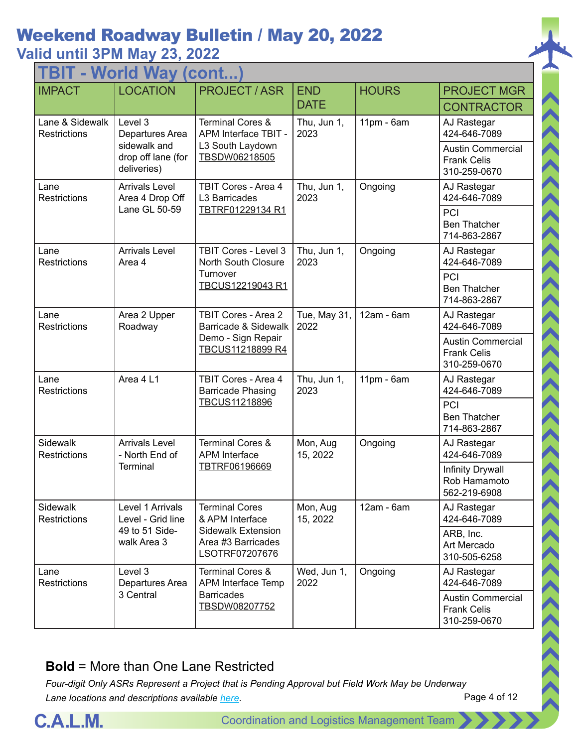#### **Valid until 3PM May 23, 2022**

| TBIT - World Way (cont.                |                                                   |                                                                                              |                      |              |                                                                |  |
|----------------------------------------|---------------------------------------------------|----------------------------------------------------------------------------------------------|----------------------|--------------|----------------------------------------------------------------|--|
| <b>IMPACT</b>                          | <b>LOCATION</b>                                   | <b>PROJECT/ASR</b>                                                                           | <b>END</b>           | <b>HOURS</b> | <b>PROJECT MGR</b>                                             |  |
|                                        |                                                   |                                                                                              | <b>DATE</b>          |              | <b>CONTRACTOR</b>                                              |  |
| Lane & Sidewalk<br><b>Restrictions</b> | Level 3<br>Departures Area                        | <b>Terminal Cores &amp;</b><br>APM Interface TBIT -                                          | Thu, Jun 1,<br>2023  | $11pm - 6am$ | AJ Rastegar<br>424-646-7089                                    |  |
|                                        | sidewalk and<br>drop off lane (for<br>deliveries) | L3 South Laydown<br>TBSDW06218505                                                            |                      |              | <b>Austin Commercial</b><br><b>Frank Celis</b><br>310-259-0670 |  |
| Lane<br><b>Restrictions</b>            | <b>Arrivals Level</b><br>Area 4 Drop Off          | TBIT Cores - Area 4<br>L3 Barricades                                                         | Thu, Jun 1,<br>2023  | Ongoing      | AJ Rastegar<br>424-646-7089                                    |  |
|                                        | Lane GL 50-59                                     | TBTRF01229134 R1                                                                             |                      |              | PCI<br><b>Ben Thatcher</b><br>714-863-2867                     |  |
| Lane<br><b>Restrictions</b>            | <b>Arrivals Level</b><br>Area 4                   | <b>TBIT Cores - Level 3</b><br><b>North South Closure</b>                                    | Thu, Jun 1,<br>2023  | Ongoing      | AJ Rastegar<br>424-646-7089                                    |  |
|                                        |                                                   | Turnover<br>TBCUS12219043 R1                                                                 |                      |              | PCI<br><b>Ben Thatcher</b><br>714-863-2867                     |  |
| Lane<br>Restrictions                   | Area 2 Upper<br>Roadway                           | <b>TBIT Cores - Area 2</b><br>Barricade & Sidewalk<br>Demo - Sign Repair<br>TBCUS11218899 R4 | Tue, May 31,<br>2022 | 12am - 6am   | AJ Rastegar<br>424-646-7089                                    |  |
|                                        |                                                   |                                                                                              |                      |              | <b>Austin Commercial</b><br><b>Frank Celis</b><br>310-259-0670 |  |
| Lane<br><b>Restrictions</b>            | Area 4 L1                                         | TBIT Cores - Area 4<br><b>Barricade Phasing</b>                                              | Thu, Jun 1,<br>2023  | $11pm - 6am$ | AJ Rastegar<br>424-646-7089                                    |  |
|                                        |                                                   | TBCUS11218896                                                                                |                      |              | PCI<br><b>Ben Thatcher</b><br>714-863-2867                     |  |
| Sidewalk<br><b>Restrictions</b>        | <b>Arrivals Level</b><br>- North End of           | <b>Terminal Cores &amp;</b><br><b>APM</b> Interface                                          | Mon, Aug<br>15, 2022 | Ongoing      | AJ Rastegar<br>424-646-7089                                    |  |
|                                        | <b>Terminal</b>                                   | TBTRF06196669                                                                                |                      |              | Infinity Drywall<br>Rob Hamamoto<br>562-219-6908               |  |
| Sidewalk<br><b>Restrictions</b>        | Level 1 Arrivals<br>Level - Grid line             | <b>Terminal Cores</b><br>& APM Interface                                                     | Mon, Aug<br>15, 2022 | 12am - 6am   | AJ Rastegar<br>424-646-7089                                    |  |
|                                        | 49 to 51 Side-<br>walk Area 3                     | <b>Sidewalk Extension</b><br>Area #3 Barricades<br>LSOTRF07207676                            |                      |              | ARB, Inc.<br>Art Mercado<br>310-505-6258                       |  |
| Lane<br><b>Restrictions</b>            | Level 3<br>Departures Area                        | <b>Terminal Cores &amp;</b><br>APM Interface Temp                                            | Wed, Jun 1,<br>2022  | Ongoing      | AJ Rastegar<br>424-646-7089                                    |  |
|                                        | 3 Central                                         | <b>Barricades</b><br>TBSDW08207752                                                           |                      |              | <b>Austin Commercial</b><br><b>Frank Celis</b><br>310-259-0670 |  |

#### **Bold** = More than One Lane Restricted



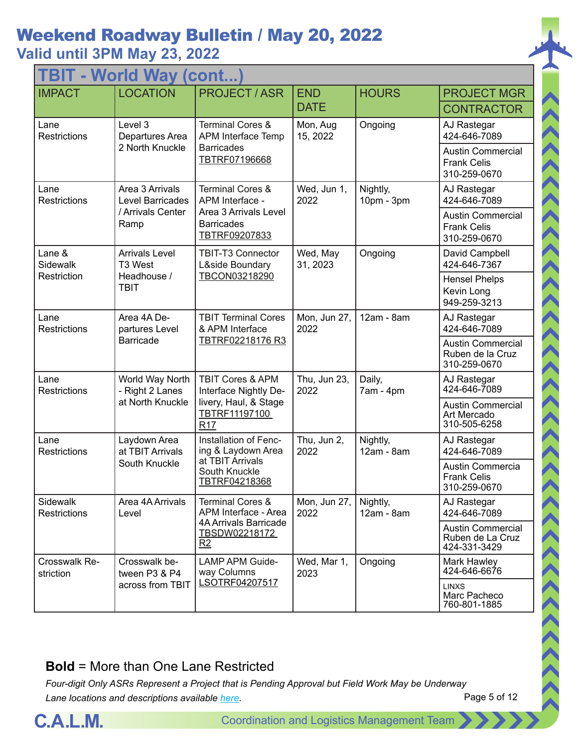### Weekend Roadway Bulletin / May 20, 2022 **Valid until 3PM May 23, 2022**

| <b>TBIT - World Way (cont</b>   |                                            |                                                                   |                      |                        |                                                                |  |  |
|---------------------------------|--------------------------------------------|-------------------------------------------------------------------|----------------------|------------------------|----------------------------------------------------------------|--|--|
| <b>IMPACT</b>                   | <b>LOCATION</b>                            | <b>PROJECT / ASR</b>                                              | <b>END</b>           | <b>HOURS</b>           | <b>PROJECT MGR</b>                                             |  |  |
|                                 |                                            |                                                                   | <b>DATE</b>          |                        | <b>CONTRACTOR</b>                                              |  |  |
| Lane<br><b>Restrictions</b>     | Level 3<br>Departures Area                 | <b>Terminal Cores &amp;</b><br>APM Interface Temp                 | Mon, Aug<br>15, 2022 | Ongoing                | AJ Rastegar<br>424-646-7089                                    |  |  |
|                                 | 2 North Knuckle                            | <b>Barricades</b><br>TBTRF07196668                                |                      |                        | <b>Austin Commercial</b><br><b>Frank Celis</b><br>310-259-0670 |  |  |
| Lane<br>Restrictions            | Area 3 Arrivals<br><b>Level Barricades</b> | <b>Terminal Cores &amp;</b><br>APM Interface -                    | Wed, Jun 1,<br>2022  | Nightly,<br>10pm - 3pm | AJ Rastegar<br>424-646-7089                                    |  |  |
|                                 | / Arrivals Center<br>Ramp                  | Area 3 Arrivals Level<br><b>Barricades</b><br>TBTRF09207833       |                      |                        | <b>Austin Commercial</b><br><b>Frank Celis</b><br>310-259-0670 |  |  |
| Lane &<br>Sidewalk              | <b>Arrivals Level</b><br>T3 West           | <b>TBIT-T3 Connector</b><br>L&side Boundary                       | Wed, May<br>31, 2023 | Ongoing                | David Campbell<br>424-646-7367                                 |  |  |
| Restriction                     | Headhouse /<br><b>TBIT</b>                 | TBCON03218290                                                     |                      |                        | <b>Hensel Phelps</b><br>Kevin Long<br>949-259-3213             |  |  |
| Lane<br><b>Restrictions</b>     | Area 4A De-<br>partures Level              | <b>TBIT Terminal Cores</b><br>& APM Interface<br>TBTRF02218176 R3 | Mon, Jun 27,<br>2022 | 12am - 8am             | AJ Rastegar<br>424-646-7089                                    |  |  |
|                                 | <b>Barricade</b>                           |                                                                   |                      |                        | <b>Austin Commercial</b><br>Ruben de la Cruz<br>310-259-0670   |  |  |
| Lane<br>Restrictions            | World Way North<br>- Right 2 Lanes         | TBIT Cores & APM<br>Interface Nightly De-                         | Thu, Jun 23,<br>2022 | Daily,<br>7am - 4pm    | AJ Rastegar<br>424-646-7089                                    |  |  |
|                                 | at North Knuckle                           | livery, Haul, & Stage<br>TBTRF11197100<br>R <sub>17</sub>         |                      |                        | <b>Austin Commercial</b><br>Art Mercado<br>310-505-6258        |  |  |
| Lane<br><b>Restrictions</b>     | Laydown Area<br>at TBIT Arrivals           | Installation of Fenc-<br>ing & Laydown Area                       | Thu, Jun 2,<br>2022  | Nightly,<br>12am - 8am | AJ Rastegar<br>424-646-7089                                    |  |  |
|                                 | South Knuckle                              | South Knuckle<br>TBTRF04218368                                    | at TBIT Arrivals     |                        | Austin Commercia<br><b>Frank Celis</b><br>310-259-0670         |  |  |
| Sidewalk<br><b>Restrictions</b> | Area 4A Arrivals<br>Level                  | <b>Terminal Cores &amp;</b><br>APM Interface - Area               | Mon, Jun 27,<br>2022 | Nightly,<br>12am - 8am | AJ Rastegar<br>424-646-7089                                    |  |  |
|                                 |                                            | <b>4A Arrivals Barricade</b><br>TBSDW02218172<br>R <sub>2</sub>   |                      |                        | <b>Austin Commercial</b><br>Ruben de La Cruz<br>424-331-3429   |  |  |
| Crosswalk Re-<br>striction      | Crosswalk be-<br>tween P3 & P4             | <b>LAMP APM Guide-</b><br>way Columns                             | Wed, Mar 1,<br>2023  | Ongoing                | Mark Hawley<br>424-646-6676                                    |  |  |
|                                 | across from TBIT                           | LSOTRF04207517                                                    |                      |                        | <b>LINXS</b><br>Marc Pacheco<br>760-801-1885                   |  |  |

#### **Bold** = More than One Lane Restricted

*Four-digit Only ASRs Represent a Project that is Pending Approval but Field Work May be Underway Lane locations and descriptions available [here](http://slaxadgmss001/sites/CALMSHARE/Shared%20Documents/CTA_Lane_Descriptions.pdf).*

Page 5 of 12

 $\langle\langle\langle\langle\langle\langle\rangle\rangle\rangle\rangle\rangle\rangle\rangle$ 

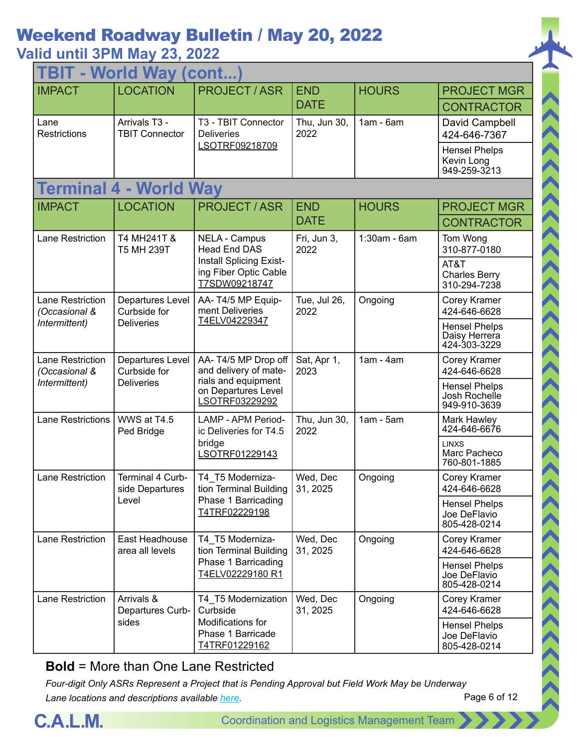### **Valid until 3PM May 23, 2022**

| <b>TBIT - World Way (cont</b>            |                                        |                                                                   |                      |              |                                                       |  |
|------------------------------------------|----------------------------------------|-------------------------------------------------------------------|----------------------|--------------|-------------------------------------------------------|--|
| <b>IMPACT</b>                            | <b>LOCATION</b>                        | <b>PROJECT/ASR</b>                                                | <b>END</b>           | <b>HOURS</b> | <b>PROJECT MGR</b>                                    |  |
|                                          |                                        |                                                                   | <b>DATE</b>          |              | <b>CONTRACTOR</b>                                     |  |
| Lane<br>Restrictions                     | Arrivals T3 -<br><b>TBIT Connector</b> | T3 - TBIT Connector<br><b>Deliveries</b>                          | Thu, Jun 30,<br>2022 | $1am - 6am$  | David Campbell<br>424-646-7367                        |  |
|                                          |                                        | LSOTRF09218709                                                    |                      |              | <b>Hensel Phelps</b><br>Kevin Long<br>949-259-3213    |  |
|                                          | <b>Terminal 4 - World Way</b>          |                                                                   |                      |              |                                                       |  |
| <b>IMPACT</b>                            | <b>LOCATION</b>                        | <b>PROJECT/ASR</b>                                                | <b>END</b>           | <b>HOURS</b> | <b>PROJECT MGR</b>                                    |  |
|                                          |                                        |                                                                   | <b>DATE</b>          |              | <b>CONTRACTOR</b>                                     |  |
| <b>Lane Restriction</b>                  | T4 MH241T &<br><b>T5 MH 239T</b>       | <b>NELA - Campus</b><br><b>Head End DAS</b>                       | Fri, Jun 3,<br>2022  | 1:30am - 6am | Tom Wong<br>310-877-0180                              |  |
|                                          |                                        | Install Splicing Exist-<br>ing Fiber Optic Cable<br>T7SDW09218747 |                      |              | AT&T<br><b>Charles Berry</b><br>310-294-7238          |  |
| Lane Restriction<br>(Occasional &        | Departures Level<br>Curbside for       | AA-T4/5 MP Equip-<br>ment Deliveries<br>T4ELV04229347             | Tue, Jul 26,<br>2022 | Ongoing      | Corey Kramer<br>424-646-6628                          |  |
| Intermittent)                            | <b>Deliveries</b>                      |                                                                   |                      |              | <b>Hensel Phelps</b><br>Daisy Herrera<br>424-303-3229 |  |
| <b>Lane Restriction</b><br>(Occasional & | Departures Level<br>Curbside for       | AA-T4/5 MP Drop off<br>and delivery of mate-                      | Sat, Apr 1,<br>2023  | $1am - 4am$  | Corey Kramer<br>424-646-6628                          |  |
| Intermittent)                            | <b>Deliveries</b>                      | rials and equipment<br>on Departures Level<br>LSOTRF03229292      |                      |              | <b>Hensel Phelps</b><br>Josh Rochelle<br>949-910-3639 |  |
| <b>Lane Restrictions</b>                 | WWS at T4.5<br>Ped Bridge              | <b>LAMP - APM Period-</b><br>ic Deliveries for T4.5               | Thu, Jun 30,<br>2022 | $1am - 5am$  | Mark Hawley<br>424-646-6676                           |  |
|                                          |                                        | bridge<br>LSOTRF01229143                                          |                      |              | <b>LINXS</b><br>Marc Pacheco<br>760-801-1885          |  |
| <b>Lane Restriction</b>                  | Terminal 4 Curb-<br>side Departures    | T4 T5 Moderniza-<br>tion Terminal Building                        | Wed, Dec<br>31, 2025 | Ongoing      | Corey Kramer<br>424-646-6628                          |  |
|                                          | Level                                  | Phase 1 Barricading<br>T4TRF02229198                              |                      |              | <b>Hensel Phelps</b><br>Joe DeFlavio<br>805-428-0214  |  |
| Lane Restriction                         | East Headhouse<br>area all levels      | T4_T5 Moderniza-<br>tion Terminal Building                        | Wed, Dec<br>31, 2025 | Ongoing      | Corey Kramer<br>424-646-6628                          |  |
|                                          |                                        | Phase 1 Barricading<br>T4ELV02229180 R1                           |                      |              | <b>Hensel Phelps</b><br>Joe DeFlavio<br>805-428-0214  |  |
| Lane Restriction                         | Arrivals &<br>Departures Curb-         | T4 T5 Modernization<br>Curbside                                   | Wed, Dec<br>31, 2025 | Ongoing      | Corey Kramer<br>424-646-6628                          |  |
|                                          | sides                                  | Modifications for<br>Phase 1 Barricade<br>T4TRF01229162           |                      |              | <b>Hensel Phelps</b><br>Joe DeFlavio<br>805-428-0214  |  |

#### **Bold** = More than One Lane Restricted



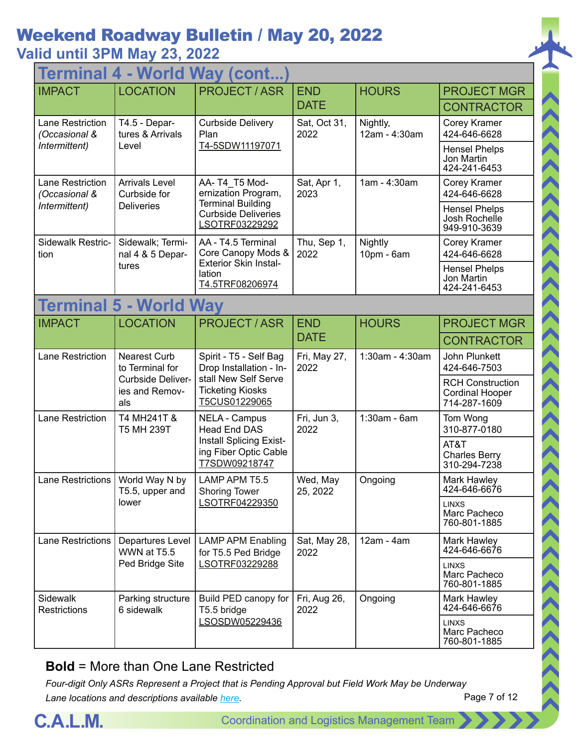**Valid until 3PM May 23, 2022 Marid Way (cont)** 

| <u>ı cı illilidi</u><br><b>VVUIU</b><br><b>vvav</b><br>$\mathbf{U}$ |                                                                                      |                                                                                                                       |                           |                           |                                                                   |  |  |
|---------------------------------------------------------------------|--------------------------------------------------------------------------------------|-----------------------------------------------------------------------------------------------------------------------|---------------------------|---------------------------|-------------------------------------------------------------------|--|--|
| <b>IMPACT</b>                                                       | <b>LOCATION</b>                                                                      | <b>PROJECT/ASR</b>                                                                                                    | <b>END</b>                | <b>HOURS</b>              | <b>PROJECT MGR</b>                                                |  |  |
|                                                                     |                                                                                      |                                                                                                                       | <b>DATE</b>               |                           | <b>CONTRACTOR</b>                                                 |  |  |
| Lane Restriction<br>(Occasional &                                   | T4.5 - Depar-<br>tures & Arrivals                                                    | <b>Curbside Delivery</b><br>Plan                                                                                      | Sat, Oct 31,<br>2022      | Nightly,<br>12am - 4:30am | Corey Kramer<br>424-646-6628                                      |  |  |
| Intermittent)                                                       | Level                                                                                | T4-5SDW11197071                                                                                                       |                           |                           | <b>Hensel Phelps</b><br>Jon Martin<br>424-241-6453                |  |  |
| Lane Restriction<br>(Occasional &                                   | <b>Arrivals Level</b><br>Curbside for                                                | AA-T4 T5 Mod-<br>ernization Program,                                                                                  | Sat, Apr 1,<br>2023       | 1am - 4:30am              | Corey Kramer<br>424-646-6628                                      |  |  |
| Intermittent)                                                       | <b>Deliveries</b>                                                                    | <b>Terminal Building</b><br><b>Curbside Deliveries</b><br>LSOTRF03229292                                              |                           |                           | <b>Hensel Phelps</b><br>Josh Rochelle<br>949-910-3639             |  |  |
| Sidewalk Restric-<br>tion                                           | Sidewalk; Termi-<br>nal 4 & 5 Depar-                                                 | AA - T4.5 Terminal<br>Core Canopy Mods &<br><b>Exterior Skin Instal-</b>                                              | Thu, Sep 1,<br>2022       | Nightly<br>10pm - 6am     | Corey Kramer<br>424-646-6628                                      |  |  |
|                                                                     | tures                                                                                | lation<br>T4.5TRF08206974                                                                                             |                           |                           | <b>Hensel Phelps</b><br>Jon Martin<br>424-241-6453                |  |  |
|                                                                     | <b>Terminal 5 - World Way</b>                                                        |                                                                                                                       |                           |                           |                                                                   |  |  |
| <b>IMPACT</b>                                                       | <b>LOCATION</b>                                                                      | <b>PROJECT / ASR</b>                                                                                                  | <b>END</b><br><b>DATE</b> | <b>HOURS</b>              | <b>PROJECT MGR</b>                                                |  |  |
|                                                                     |                                                                                      |                                                                                                                       |                           |                           | <b>CONTRACTOR</b>                                                 |  |  |
| Lane Restriction                                                    | <b>Nearest Curb</b><br>to Terminal for<br>Curbside Deliver-<br>ies and Remov-<br>als | Spirit - T5 - Self Bag<br>Drop Installation - In-<br>stall New Self Serve<br><b>Ticketing Kiosks</b><br>T5CUS01229065 | Fri, May 27,<br>2022      | 1:30am - 4:30am           | John Plunkett<br>424-646-7503                                     |  |  |
|                                                                     |                                                                                      |                                                                                                                       |                           |                           | <b>RCH Construction</b><br><b>Cordinal Hooper</b><br>714-287-1609 |  |  |
| Lane Restriction                                                    | T4 MH241T &<br>T5 MH 239T                                                            | <b>NELA - Campus</b><br><b>Head End DAS</b>                                                                           | Fri, Jun 3,<br>2022       | 1:30am - 6am              | Tom Wong<br>310-877-0180                                          |  |  |
|                                                                     |                                                                                      | Install Splicing Exist-<br>ing Fiber Optic Cable<br>T7SDW09218747                                                     |                           |                           | AT&T<br><b>Charles Berry</b><br>310-294-7238                      |  |  |
| Lane Restrictions                                                   | World Way N by<br>T5.5, upper and                                                    | LAMP APM T5.5<br><b>Shoring Tower</b>                                                                                 | Wed, May<br>25, 2022      | Ongoing                   | Mark Hawley<br>424-646-6676                                       |  |  |
|                                                                     | lower                                                                                | LSOTRF04229350                                                                                                        |                           |                           | <b>LINXS</b><br>Marc Pacheco<br>760-801-1885                      |  |  |
| Lane Restrictions                                                   | Departures Level<br>WWN at T5.5                                                      | <b>LAMP APM Enabling</b><br>for T5.5 Ped Bridge                                                                       | Sat, May 28,<br>2022      | $12am - 4am$              | Mark Hawley<br>424-646-6676                                       |  |  |
|                                                                     | Ped Bridge Site                                                                      | LSOTRF03229288                                                                                                        |                           |                           | <b>LINXS</b><br>Marc Pacheco<br>760-801-1885                      |  |  |
| Sidewalk<br><b>Restrictions</b>                                     | Parking structure<br>6 sidewalk                                                      | Build PED canopy for<br>T5.5 bridge                                                                                   | Fri, Aug 26,<br>2022      | Ongoing                   | Mark Hawley<br>424-646-6676                                       |  |  |
|                                                                     |                                                                                      | LSOSDW05229436                                                                                                        |                           |                           | <b>LINXS</b><br>Marc Pacheco<br>760-801-1885                      |  |  |
|                                                                     |                                                                                      |                                                                                                                       |                           |                           |                                                                   |  |  |

#### **Bold** = More than One Lane Restricted



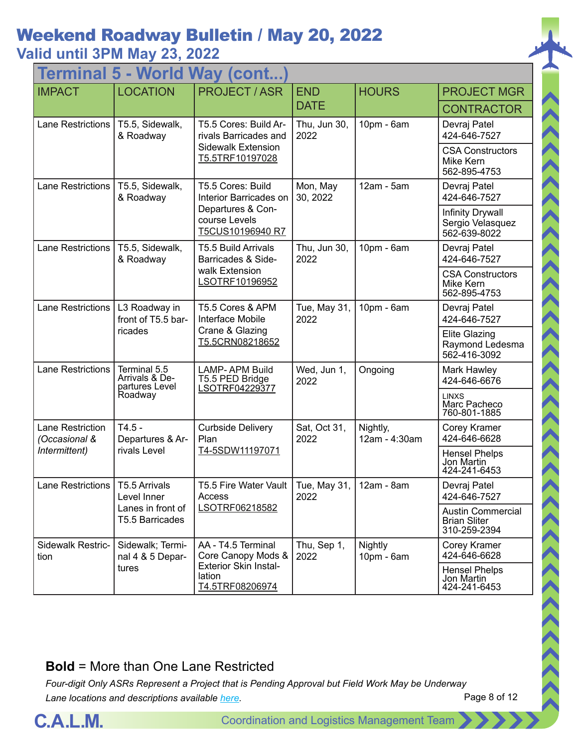## **Valid until 3PM May 23, 2022**

| <b>World</b><br><b>Way (cont.</b><br><b>lermina</b> |                                                  |                                                            |                                   |                           |                                                                 |  |  |
|-----------------------------------------------------|--------------------------------------------------|------------------------------------------------------------|-----------------------------------|---------------------------|-----------------------------------------------------------------|--|--|
| <b>IMPACT</b>                                       | <b>LOCATION</b>                                  | <b>PROJECT/ASR</b>                                         | <b>END</b>                        | <b>HOURS</b>              | <b>PROJECT MGR</b>                                              |  |  |
|                                                     |                                                  |                                                            | <b>DATE</b>                       |                           | <b>CONTRACTOR</b>                                               |  |  |
| <b>Lane Restrictions</b>                            | T5.5, Sidewalk,<br>& Roadway                     | T5.5 Cores: Build Ar-<br>rivals Barricades and             | Thu, Jun 30,<br>2022              | 10pm - 6am                | Devraj Patel<br>424-646-7527                                    |  |  |
|                                                     |                                                  | <b>Sidewalk Extension</b><br>T5.5TRF10197028               |                                   |                           | <b>CSA Constructors</b><br>Mike Kern<br>562-895-4753            |  |  |
| Lane Restrictions                                   | T5.5, Sidewalk,<br>& Roadway                     | T5.5 Cores: Build<br>Interior Barricades on                | Mon, May<br>30, 2022              | 12am - 5am                | Devraj Patel<br>424-646-7527                                    |  |  |
|                                                     |                                                  | Departures & Con-<br>course Levels<br>T5CUS10196940 R7     |                                   |                           | <b>Infinity Drywall</b><br>Sergio Velasquez<br>562-639-8022     |  |  |
| <b>Lane Restrictions</b>                            | T5.5, Sidewalk,<br>& Roadway                     | T5.5 Build Arrivals<br>Barricades & Side-                  | Thu, Jun 30,<br>2022              | 10pm - 6am                | Devraj Patel<br>424-646-7527                                    |  |  |
|                                                     |                                                  | walk Extension<br>LSOTRF10196952                           |                                   |                           | <b>CSA Constructors</b><br>Mike Kern<br>562-895-4753            |  |  |
| <b>Lane Restrictions</b>                            | L3 Roadway in<br>front of T5.5 bar-              | T5.5 Cores & APM<br>Interface Mobile                       | Tue, May 31,<br>2022              | 10pm - 6am                | Devraj Patel<br>424-646-7527                                    |  |  |
|                                                     | ricades                                          | Crane & Glazing<br>T5.5CRN08218652                         |                                   |                           | <b>Elite Glazing</b><br>Raymond Ledesma<br>562-416-3092         |  |  |
| <b>Lane Restrictions</b>                            | Terminal 5.5<br>Arrivals & De-<br>partures Level | <b>LAMP-APM Build</b><br>T5.5 PED Bridge<br>LSOTRF04229377 | Wed, Jun 1,<br>2022               | Ongoing                   | Mark Hawley<br>424-646-6676                                     |  |  |
|                                                     | Roadway                                          |                                                            |                                   |                           | <b>LINXS</b><br>Marc Pacheco<br>760-801-1885                    |  |  |
| Lane Restriction<br>(Occasional &                   | $T4.5 -$<br>Departures & Ar-                     | <b>Curbside Delivery</b><br>Plan                           | Sat, Oct 31,<br>2022              | Nightly,<br>12am - 4:30am | <b>Corey Kramer</b><br>424-646-6628                             |  |  |
| Intermittent)                                       | rivals Level                                     | T4-5SDW11197071                                            |                                   |                           | <b>Hensel Phelps</b><br>Jon Martin<br>424-241-6453              |  |  |
| Lane Restrictions   T5.5 Arrivals                   | Level Inner                                      | T5.5 Fire Water Vault<br>Access                            | Tue, May 31,   12am - 8am<br>2022 |                           | Devraj Patel<br>424-646-7527                                    |  |  |
|                                                     | Lanes in front of<br>T5.5 Barricades             | LSOTRF06218582                                             |                                   |                           | <b>Austin Commercial</b><br><b>Brian Sliter</b><br>310-259-2394 |  |  |
| Sidewalk Restric-<br>tion                           | Sidewalk; Termi-<br>nal 4 & 5 Depar-             | AA - T4.5 Terminal<br>Core Canopy Mods &                   | Thu, Sep 1,<br>2022               | Nightly<br>10pm - 6am     | Corey Kramer<br>424-646-6628                                    |  |  |
|                                                     | tures                                            | <b>Exterior Skin Instal-</b><br>lation<br>T4.5TRF08206974  |                                   |                           | <b>Hensel Phelps</b><br>Jon Martin<br>424-241-6453              |  |  |

#### **Bold** = More than One Lane Restricted

*Four-digit Only ASRs Represent a Project that is Pending Approval but Field Work May be Underway Lane locations and descriptions available [here](http://slaxadgmss001/sites/CALMSHARE/Shared%20Documents/CTA_Lane_Descriptions.pdf).*



 $\rightarrow$   $\rightarrow$   $\rightarrow$   $\rightarrow$   $\rightarrow$   $\rightarrow$   $\rightarrow$ 

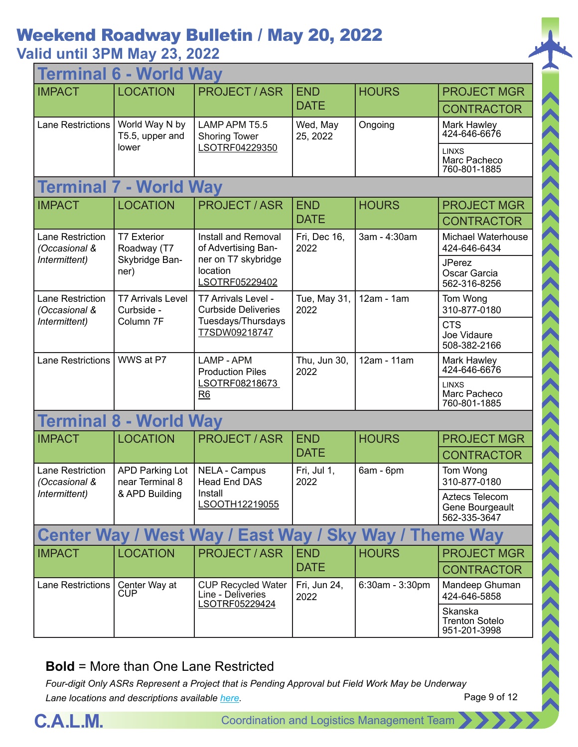### **Valid until 3PM May 23, 2022**

| <b>Terminal 6 - World Way</b>            |                                           |                                                                  |                      |                 |                                                   |  |  |
|------------------------------------------|-------------------------------------------|------------------------------------------------------------------|----------------------|-----------------|---------------------------------------------------|--|--|
| <b>IMPACT</b>                            | <b>LOCATION</b>                           | <b>PROJECT / ASR</b>                                             | <b>END</b>           | <b>HOURS</b>    | <b>PROJECT MGR</b>                                |  |  |
|                                          |                                           |                                                                  | <b>DATE</b>          |                 | <b>CONTRACTOR</b>                                 |  |  |
| <b>Lane Restrictions</b>                 | World Way N by<br>T5.5, upper and         | LAMP APM T5.5<br><b>Shoring Tower</b>                            | Wed, May<br>25, 2022 | Ongoing         | Mark Hawley<br>424-646-6676                       |  |  |
|                                          | lower                                     | LSOTRF04229350                                                   |                      |                 | <b>LINXS</b><br>Marc Pacheco<br>760-801-1885      |  |  |
|                                          | <b>Terminal 7 - World Way</b>             |                                                                  |                      |                 |                                                   |  |  |
| <b>IMPACT</b>                            | <b>LOCATION</b>                           | <b>PROJECT/ASR</b>                                               | <b>END</b>           | <b>HOURS</b>    | <b>PROJECT MGR</b>                                |  |  |
|                                          |                                           |                                                                  | <b>DATE</b>          |                 | <b>CONTRACTOR</b>                                 |  |  |
| <b>Lane Restriction</b><br>(Occasional & | <b>T7 Exterior</b><br>Roadway (T7         | Install and Removal<br>of Advertising Ban-                       | Fri, Dec 16,<br>2022 | 3am - 4:30am    | <b>Michael Waterhouse</b><br>424-646-6434         |  |  |
| Intermittent)                            | Skybridge Ban-<br>ner)                    | ner on T7 skybridge<br>location<br>LSOTRF05229402                |                      |                 | <b>JPerez</b><br>Oscar Garcia<br>562-316-8256     |  |  |
| Lane Restriction<br>(Occasional &        | <b>T7 Arrivals Level</b><br>Curbside -    | T7 Arrivals Level -<br><b>Curbside Deliveries</b>                | Tue, May 31,<br>2022 | $12am - 1am$    | Tom Wong<br>310-877-0180                          |  |  |
| Intermittent)<br>Column 7F               |                                           | Tuesdays/Thursdays<br>T7SDW09218747                              |                      |                 | <b>CTS</b><br>Joe Vidaure<br>508-382-2166         |  |  |
| Lane Restrictions                        | WWS at P7                                 | LAMP - APM<br><b>Production Piles</b>                            | Thu, Jun 30,<br>2022 | 12am - 11am     | Mark Hawley<br>424-646-6676                       |  |  |
|                                          |                                           | LSOTRF08218673<br>R6                                             |                      |                 | <b>LINXS</b><br>Marc Pacheco<br>760-801-1885      |  |  |
| <b>Terminal 8 - World Way</b>            |                                           |                                                                  |                      |                 |                                                   |  |  |
| <b>IMPACT</b>                            | <b>LOCATION</b>                           | <b>PROJECT / ASR</b>                                             | <b>END</b>           | <b>HOURS</b>    | <b>PROJECT MGR</b>                                |  |  |
|                                          |                                           |                                                                  | <b>DATE</b>          |                 | <b>CONTRACTOR</b>                                 |  |  |
| <b>Lane Restriction</b><br>(Occasional & | <b>APD Parking Lot</b><br>near Terminal 8 | <b>NELA - Campus</b><br><b>Head End DAS</b>                      | Fri, Jul 1,<br>2022  | 6am - 6pm       | Tom Wong<br>310-877-0180                          |  |  |
| Intermittent)                            | & APD Building                            | Install<br>LSOOTH12219055                                        |                      |                 | Aztecs Telecom<br>Gene Bourgeault<br>562-335-3647 |  |  |
|                                          |                                           | Center Way / West Way / East Way / Sky Way / Theme Way           |                      |                 |                                                   |  |  |
| <b>IMPACT</b>                            | <b>LOCATION</b>                           | <b>PROJECT/ASR</b>                                               | <b>END</b>           | <b>HOURS</b>    | <b>PROJECT MGR</b>                                |  |  |
|                                          |                                           |                                                                  | <b>DATE</b>          |                 | <b>CONTRACTOR</b>                                 |  |  |
| Lane Restrictions                        | Center Way at<br><b>CUP</b>               | <b>CUP Recycled Water</b><br>Line - Deliveries<br>LSOTRF05229424 | Fri, Jun 24,<br>2022 | 6:30am - 3:30pm | Mandeep Ghuman<br>424-646-5858                    |  |  |
|                                          |                                           |                                                                  |                      |                 | Skanska<br><b>Trenton Sotelo</b><br>951-201-3998  |  |  |

#### **Bold** = More than One Lane Restricted

*Four-digit Only ASRs Represent a Project that is Pending Approval but Field Work May be Underway Lane locations and descriptions available [here](http://slaxadgmss001/sites/CALMSHARE/Shared%20Documents/CTA_Lane_Descriptions.pdf).*



Page 9 of 12

くくくくくくくくくくくくくくくくくくくくくくくくくくくくくくくくく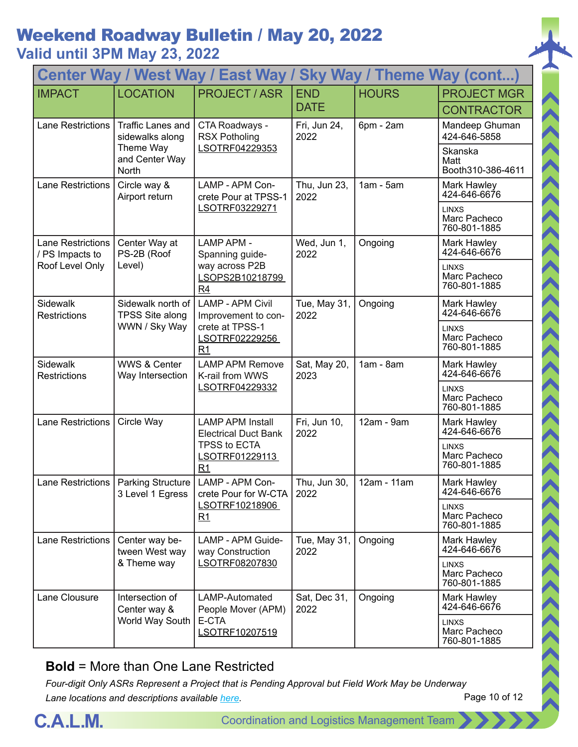### **Valid until 3PM May 23, 2022**

| <b>Center Way / West Way / East Way /</b><br><b>Sky Way / Theme Way (cont)</b> |                                                                                                                  |                                                                                 |                      |                                              |                                              |  |
|--------------------------------------------------------------------------------|------------------------------------------------------------------------------------------------------------------|---------------------------------------------------------------------------------|----------------------|----------------------------------------------|----------------------------------------------|--|
| <b>IMPACT</b>                                                                  | <b>LOCATION</b>                                                                                                  | <b>PROJECT / ASR</b>                                                            | <b>END</b>           | <b>HOURS</b>                                 | <b>PROJECT MGR</b>                           |  |
|                                                                                |                                                                                                                  |                                                                                 | <b>DATE</b>          |                                              | <b>CONTRACTOR</b>                            |  |
| <b>Lane Restrictions</b>                                                       | <b>Traffic Lanes and</b><br>sidewalks along                                                                      | CTA Roadways -<br><b>RSX Potholing</b>                                          | Fri, Jun 24,<br>2022 | 6pm - 2am                                    | Mandeep Ghuman<br>424-646-5858               |  |
|                                                                                | Theme Way<br>and Center Way<br><b>North</b>                                                                      | LSOTRF04229353                                                                  |                      |                                              | Skanska<br>Matt<br>Booth310-386-4611         |  |
| <b>Lane Restrictions</b>                                                       | Circle way &<br>Airport return                                                                                   | LAMP - APM Con-<br>crete Pour at TPSS-1                                         | Thu, Jun 23,<br>2022 | $1am - 5am$                                  | Mark Hawley<br>424-646-6676                  |  |
|                                                                                |                                                                                                                  | LSOTRF03229271                                                                  |                      |                                              | <b>LINXS</b><br>Marc Pacheco<br>760-801-1885 |  |
| <b>Lane Restrictions</b><br>/ PS Impacts to                                    | Center Way at<br>PS-2B (Roof                                                                                     | <b>LAMP APM -</b><br>Spanning guide-                                            | Wed, Jun 1,<br>2022  | Ongoing                                      | Mark Hawley<br>424-646-6676                  |  |
| Roof Level Only                                                                | Level)                                                                                                           | way across P2B<br>LSOPS2B10218799<br>R4                                         |                      |                                              | <b>LINXS</b><br>Marc Pacheco<br>760-801-1885 |  |
| <b>Sidewalk</b><br><b>Restrictions</b>                                         | Sidewalk north of<br><b>LAMP - APM Civil</b><br><b>TPSS Site along</b><br>WWN / Sky Way<br>crete at TPSS-1<br>R1 | Improvement to con-                                                             | Tue, May 31,<br>2022 | Ongoing                                      | Mark Hawley<br>424-646-6676                  |  |
|                                                                                |                                                                                                                  | LSOTRF02229256                                                                  |                      |                                              | <b>LINXS</b><br>Marc Pacheco<br>760-801-1885 |  |
| Sidewalk<br><b>Restrictions</b>                                                | <b>WWS &amp; Center</b><br>Way Intersection                                                                      | <b>LAMP APM Remove</b><br>K-rail from WWS                                       | Sat, May 20,<br>2023 | $1am - 8am$                                  | Mark Hawley<br>424-646-6676                  |  |
|                                                                                |                                                                                                                  | LSOTRF04229332                                                                  |                      |                                              | <b>LINXS</b><br>Marc Pacheco<br>760-801-1885 |  |
| Lane Restrictions                                                              | Circle Way                                                                                                       | <b>LAMP APM Install</b><br><b>Electrical Duct Bank</b>                          | Fri, Jun 10,<br>2022 | 12am - 9am                                   | Mark Hawley<br>424-646-6676                  |  |
|                                                                                |                                                                                                                  | TPSS to ECTA<br>LSOTRF01229113<br>R <sub>1</sub>                                |                      |                                              | <b>LINXS</b><br>Marc Pacheco<br>760-801-1885 |  |
|                                                                                | 3 Level 1 Egress                                                                                                 | Lane Restrictions   Parking Structure   LAMP - APM Con-<br>crete Pour for W-CTA | Thu, Jun 30,<br>2022 | 12am - 11am                                  | Mark Hawley<br>424-646-6676                  |  |
|                                                                                |                                                                                                                  | LSOTRF10218906<br>R1                                                            |                      |                                              | <b>LINXS</b><br>Marc Pacheco<br>760-801-1885 |  |
| Lane Restrictions                                                              | Center way be-<br>tween West way                                                                                 | LAMP - APM Guide-<br>way Construction                                           | Tue, May 31,<br>2022 | Ongoing                                      | Mark Hawley<br>424-646-6676                  |  |
|                                                                                | LSOTRF08207830<br>& Theme way                                                                                    |                                                                                 |                      | <b>LINXS</b><br>Marc Pacheco<br>760-801-1885 |                                              |  |
| Lane Clousure                                                                  | Intersection of<br>Center way &                                                                                  | LAMP-Automated<br>People Mover (APM)                                            | Sat, Dec 31,<br>2022 | Ongoing                                      | Mark Hawley<br>424-646-6676                  |  |
|                                                                                | World Way South                                                                                                  | E-CTA<br>LSOTRF10207519                                                         |                      |                                              | <b>LINXS</b><br>Marc Pacheco<br>760-801-1885 |  |

#### **Bold** = More than One Lane Restricted



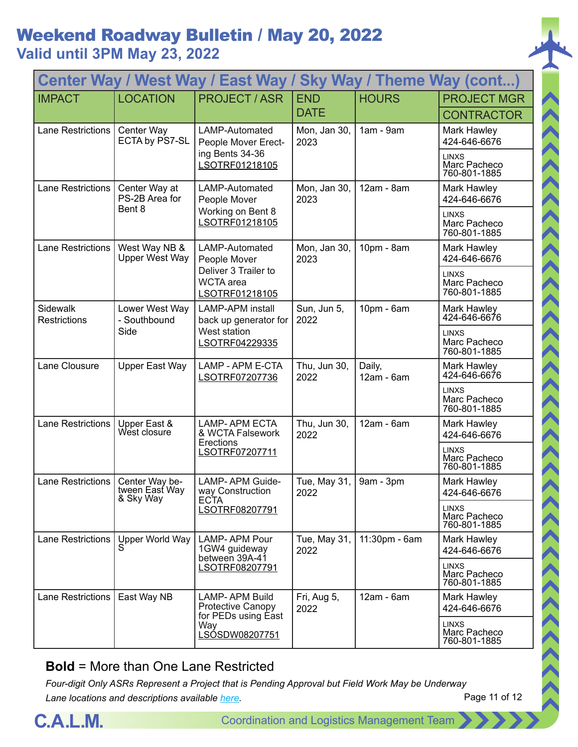## Weekend Roadway Bulletin / May 20, 2022 **Valid until 3PM May 23, 2022**

| Center Way / West Way / East Way /<br><b>Sky Way / Theme Way (cont)</b> |                                               |                                                                                    |                      |                      |                                              |  |
|-------------------------------------------------------------------------|-----------------------------------------------|------------------------------------------------------------------------------------|----------------------|----------------------|----------------------------------------------|--|
| <b>IMPACT</b>                                                           | <b>LOCATION</b>                               | <b>PROJECT / ASR</b>                                                               | <b>END</b>           | <b>HOURS</b>         | <b>PROJECT MGR</b>                           |  |
|                                                                         |                                               |                                                                                    | <b>DATE</b>          |                      | <b>CONTRACTOR</b>                            |  |
| <b>Lane Restrictions</b>                                                | Center Way<br>ECTA by PS7-SL                  | LAMP-Automated<br>People Mover Erect-                                              | Mon, Jan 30,<br>2023 | 1am - 9am            | Mark Hawley<br>424-646-6676                  |  |
|                                                                         |                                               | ing Bents 34-36<br>LSOTRF01218105                                                  |                      |                      | <b>LINXS</b><br>Marc Pacheco<br>760-801-1885 |  |
| <b>Lane Restrictions</b>                                                | Center Way at<br>PS-2B Area for               | LAMP-Automated<br>People Mover                                                     | Mon, Jan 30,<br>2023 | 12am - 8am           | Mark Hawley<br>424-646-6676                  |  |
|                                                                         | Bent 8                                        | Working on Bent 8<br>LSOTRF01218105                                                |                      |                      | <b>LINXS</b><br>Marc Pacheco<br>760-801-1885 |  |
| Lane Restrictions                                                       | West Way NB &<br><b>Upper West Way</b>        | LAMP-Automated<br>People Mover                                                     | Mon, Jan 30,<br>2023 | 10pm - 8am           | Mark Hawley<br>424-646-6676                  |  |
|                                                                         |                                               | Deliver 3 Trailer to<br><b>WCTA</b> area<br>LSOTRF01218105                         |                      |                      | <b>LINXS</b><br>Marc Pacheco<br>760-801-1885 |  |
| Sidewalk<br><b>Restrictions</b>                                         | Lower West Way<br>- Southbound                | <b>LAMP-APM</b> install<br>back up generator for<br>West station<br>LSOTRF04229335 | Sun, Jun 5,<br>2022  | $10pm - 6am$         | Mark Hawley<br>424-646-6676                  |  |
|                                                                         | Side                                          |                                                                                    |                      |                      | <b>LINXS</b><br>Marc Pacheco<br>760-801-1885 |  |
| Lane Clousure                                                           | Upper East Way                                | LAMP - APM E-CTA<br>LSOTRF07207736                                                 | Thu, Jun 30,<br>2022 | Daily,<br>12am - 6am | Mark Hawley<br>424-646-6676                  |  |
|                                                                         |                                               |                                                                                    |                      |                      | <b>LINXS</b><br>Marc Pacheco<br>760-801-1885 |  |
| <b>Lane Restrictions</b>                                                | Upper East &<br>West closure                  | <b>LAMP-APM ECTA</b><br>& WCTA Falsework                                           | Thu, Jun 30,<br>2022 | 12am - 6am           | Mark Hawley<br>424-646-6676                  |  |
|                                                                         |                                               | Erections<br>LSOTRF07207711                                                        |                      |                      | <b>LINXS</b><br>Marc Pacheco<br>760-801-1885 |  |
| <b>Lane Restrictions</b>                                                | Center Way be-<br>tween East Way<br>& Sky Way | LAMP- APM Guide-<br>way Construction<br><b>ECTA</b>                                | Tue, May 31,<br>2022 | 9am - 3pm            | Mark Hawley<br>424-646-6676                  |  |
|                                                                         |                                               | LSOTRF08207791                                                                     |                      |                      | <b>LINXS</b><br>Marc Pacheco<br>760-801-1885 |  |
| Lane Restrictions                                                       | Upper World Way                               | <b>LAMP-APM Pour</b><br>1GW4 guideway                                              | Tue, May 31,<br>2022 | 11:30pm - 6am        | Mark Hawley<br>424-646-6676                  |  |
|                                                                         |                                               | between 39A-41<br><u>LSOTRF08207791</u>                                            |                      |                      | <b>LINXS</b><br>Marc Pacheco<br>760-801-1885 |  |
| <b>Lane Restrictions</b>                                                | East Way NB                                   | <b>LAMP-APM Build</b><br>Protective Canopy                                         | Fri, Aug 5,<br>2022  | $12am - 6am$         | Mark Hawley<br>424-646-6676                  |  |
|                                                                         |                                               | for PEDs using East<br>Way<br>LSÓSDW08207751                                       |                      |                      | <b>LINXS</b><br>Marc Pacheco<br>760-801-1885 |  |

#### **Bold** = More than One Lane Restricted